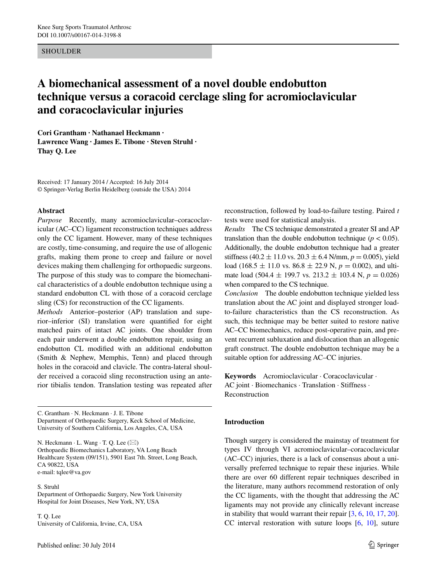## **SHOULDER**

# **A biomechanical assessment of a novel double endobutton technique versus a coracoid cerclage sling for acromioclavicular and coracoclavicular injuries**

**Cori Grantham · Nathanael Heckmann · Lawrence Wang · James E. Tibone · Steven Struhl · Thay Q. Lee**

Received: 17 January 2014 / Accepted: 16 July 2014 © Springer-Verlag Berlin Heidelberg (outside the USA) 2014

#### **Abstract**

*Purpose* Recently, many acromioclavicular–coracoclavicular (AC–CC) ligament reconstruction techniques address only the CC ligament. However, many of these techniques are costly, time-consuming, and require the use of allogenic grafts, making them prone to creep and failure or novel devices making them challenging for orthopaedic surgeons. The purpose of this study was to compare the biomechanical characteristics of a double endobutton technique using a standard endobutton CL with those of a coracoid cerclage sling (CS) for reconstruction of the CC ligaments.

*Methods* Anterior–posterior (AP) translation and superior–inferior (SI) translation were quantified for eight matched pairs of intact AC joints. One shoulder from each pair underwent a double endobutton repair, using an endobutton CL modified with an additional endobutton (Smith & Nephew, Memphis, Tenn) and placed through holes in the coracoid and clavicle. The contra-lateral shoulder received a coracoid sling reconstruction using an anterior tibialis tendon. Translation testing was repeated after

C. Grantham · N. Heckmann · J. E. Tibone Department of Orthopaedic Surgery, Keck School of Medicine, University of Southern California, Los Angeles, CA, USA

N. Heckmann  $\cdot$  L. Wang  $\cdot$  T. Q. Lee  $(\boxtimes)$ Orthopaedic Biomechanics Laboratory, VA Long Beach Healthcare System (09/151), 5901 East 7th. Street, Long Beach, CA 90822, USA e-mail: tqlee@va.gov

S. Struhl

Department of Orthopaedic Surgery, New York University Hospital for Joint Diseases, New York, NY, USA

T. Q. Lee University of California, Irvine, CA, USA reconstruction, followed by load-to-failure testing. Paired *t* tests were used for statistical analysis.

*Results* The CS technique demonstrated a greater SI and AP translation than the double endobutton technique ( $p < 0.05$ ). Additionally, the double endobutton technique had a greater stiffness (40.2  $\pm$  11.0 vs. 20.3  $\pm$  6.4 N/mm,  $p = 0.005$ ), yield load (168.5  $\pm$  11.0 vs. 86.8  $\pm$  22.9 N,  $p = 0.002$ ), and ultimate load (504.4  $\pm$  199.7 vs. 213.2  $\pm$  103.4 N,  $p = 0.026$ ) when compared to the CS technique.

*Conclusion* The double endobutton technique yielded less translation about the AC joint and displayed stronger loadto-failure characteristics than the CS reconstruction. As such, this technique may be better suited to restore native AC–CC biomechanics, reduce post-operative pain, and prevent recurrent subluxation and dislocation than an allogenic graft construct. The double endobutton technique may be a suitable option for addressing AC–CC injuries.

**Keywords** Acromioclavicular · Coracoclavicular · AC joint · Biomechanics · Translation · Stiffness · Reconstruction

### **Introduction**

Though surgery is considered the mainstay of treatment for types IV through VI acromioclavicular–coracoclavicular (AC–CC) injuries, there is a lack of consensus about a universally preferred technique to repair these injuries. While there are over 60 different repair techniques described in the literature, many authors recommend restoration of only the CC ligaments, with the thought that addressing the AC ligaments may not provide any clinically relevant increase in stability that would warrant their repair [[3,](#page-5-0) [6,](#page-5-1) [10,](#page-5-2) [17](#page-5-3), [20](#page-5-4)]. CC interval restoration with suture loops [\[6](#page-5-1), [10](#page-5-2)], suture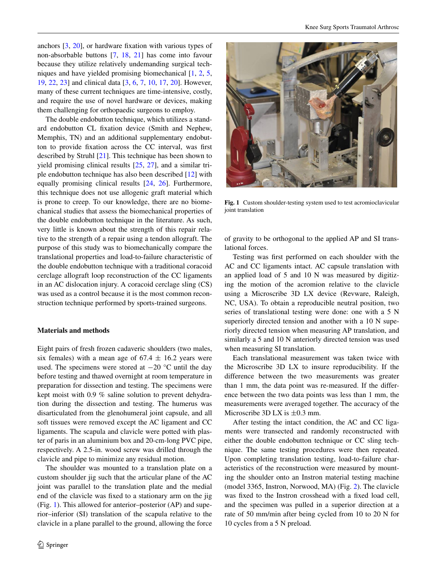anchors [[3,](#page-5-0) [20](#page-5-4)], or hardware fixation with various types of non-absorbable buttons [[7,](#page-5-5) [18,](#page-5-6) [21](#page-5-7)] has come into favour because they utilize relatively undemanding surgical techniques and have yielded promising biomechanical [\[1](#page-5-8), [2](#page-5-9), [5,](#page-5-10) [19](#page-5-11), [22](#page-5-12), [23\]](#page-5-13) and clinical data [\[3](#page-5-0), [6,](#page-5-1) [7](#page-5-5), [10,](#page-5-2) [17,](#page-5-3) [20](#page-5-4)]. However, many of these current techniques are time-intensive, costly, and require the use of novel hardware or devices, making them challenging for orthopaedic surgeons to employ.

The double endobutton technique, which utilizes a standard endobutton CL fixation device (Smith and Nephew, Memphis, TN) and an additional supplementary endobutton to provide fixation across the CC interval, was first described by Struhl [\[21](#page-5-7)]. This technique has been shown to yield promising clinical results [\[25](#page-5-14), [27](#page-6-0)], and a similar triple endobutton technique has also been described [\[12](#page-5-15)] with equally promising clinical results [[24,](#page-5-16) [26](#page-5-17)]. Furthermore, this technique does not use allogenic graft material which is prone to creep. To our knowledge, there are no biomechanical studies that assess the biomechanical properties of the double endobutton technique in the literature. As such, very little is known about the strength of this repair relative to the strength of a repair using a tendon allograft. The purpose of this study was to biomechanically compare the translational properties and load-to-failure characteristic of the double endobutton technique with a traditional coracoid cerclage allograft loop reconstruction of the CC ligaments in an AC dislocation injury. A coracoid cerclage sling (CS) was used as a control because it is the most common reconstruction technique performed by sports-trained surgeons.

#### **Materials and methods**

Eight pairs of fresh frozen cadaveric shoulders (two males, six females) with a mean age of  $67.4 \pm 16.2$  years were used. The specimens were stored at  $-20$  °C until the day before testing and thawed overnight at room temperature in preparation for dissection and testing. The specimens were kept moist with 0.9 % saline solution to prevent dehydration during the dissection and testing. The humerus was disarticulated from the glenohumeral joint capsule, and all soft tissues were removed except the AC ligament and CC ligaments. The scapula and clavicle were potted with plaster of paris in an aluminium box and 20-cm-long PVC pipe, respectively. A 2.5-in. wood screw was drilled through the clavicle and pipe to minimize any residual motion.

The shoulder was mounted to a translation plate on a custom shoulder jig such that the articular plane of the AC joint was parallel to the translation plate and the medial end of the clavicle was fixed to a stationary arm on the jig (Fig. [1\)](#page-1-0). This allowed for anterior–posterior (AP) and superior–inferior (SI) translation of the scapula relative to the clavicle in a plane parallel to the ground, allowing the force



**Fig. 1** Custom shoulder-testing system used to test acromioclavicular joint translation

<span id="page-1-0"></span>of gravity to be orthogonal to the applied AP and SI translational forces.

Testing was first performed on each shoulder with the AC and CC ligaments intact. AC capsule translation with an applied load of 5 and 10 N was measured by digitizing the motion of the acromion relative to the clavicle using a Microscribe 3D LX device (Revware, Raleigh, NC, USA). To obtain a reproducible neutral position, two series of translational testing were done: one with a 5 N superiorly directed tension and another with a 10 N superiorly directed tension when measuring AP translation, and similarly a 5 and 10 N anteriorly directed tension was used when measuring SI translation.

Each translational measurement was taken twice with the Microscribe 3D LX to insure reproducibility. If the difference between the two measurements was greater than 1 mm, the data point was re-measured. If the difference between the two data points was less than 1 mm, the measurements were averaged together. The accuracy of the Microscribe 3D LX is  $\pm$ 0.3 mm.

After testing the intact condition, the AC and CC ligaments were transected and randomly reconstructed with either the double endobutton technique or CC sling technique. The same testing procedures were then repeated. Upon completing translation testing, load-to-failure characteristics of the reconstruction were measured by mounting the shoulder onto an Instron material testing machine (model 3365, Instron, Norwood, MA) (Fig. [2\)](#page-2-0). The clavicle was fixed to the Instron crosshead with a fixed load cell, and the specimen was pulled in a superior direction at a rate of 50 mm/min after being cycled from 10 to 20 N for 10 cycles from a 5 N preload.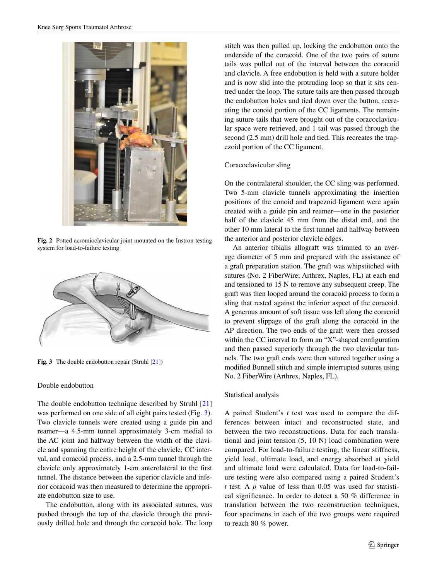

**Fig. 2** Potted acromioclavicular joint mounted on the Instron testing system for load-to-failure testing

<span id="page-2-0"></span>

**Fig. 3** The double endobutton repair (Struhl [[21](#page-5-7)])

## <span id="page-2-1"></span>Double endobutton

The double endobutton technique described by Struhl [[21\]](#page-5-7) was performed on one side of all eight pairs tested (Fig. [3](#page-2-1)). Two clavicle tunnels were created using a guide pin and reamer—a 4.5-mm tunnel approximately 3-cm medial to the AC joint and halfway between the width of the clavicle and spanning the entire height of the clavicle, CC interval, and coracoid process, and a 2.5-mm tunnel through the clavicle only approximately 1-cm anterolateral to the first tunnel. The distance between the superior clavicle and inferior coracoid was then measured to determine the appropriate endobutton size to use.

The endobutton, along with its associated sutures, was pushed through the top of the clavicle through the previously drilled hole and through the coracoid hole. The loop stitch was then pulled up, locking the endobutton onto the underside of the coracoid. One of the two pairs of suture tails was pulled out of the interval between the coracoid and clavicle. A free endobutton is held with a suture holder and is now slid into the protruding loop so that it sits centred under the loop. The suture tails are then passed through the endobutton holes and tied down over the button, recreating the conoid portion of the CC ligaments. The remaining suture tails that were brought out of the coracoclavicular space were retrieved, and 1 tail was passed through the second (2.5 mm) drill hole and tied. This recreates the trapezoid portion of the CC ligament.

#### Coracoclavicular sling

On the contralateral shoulder, the CC sling was performed. Two 5-mm clavicle tunnels approximating the insertion positions of the conoid and trapezoid ligament were again created with a guide pin and reamer—one in the posterior half of the clavicle 45 mm from the distal end, and the other 10 mm lateral to the first tunnel and halfway between the anterior and posterior clavicle edges.

An anterior tibialis allograft was trimmed to an average diameter of 5 mm and prepared with the assistance of a graft preparation station. The graft was whipstitched with sutures (No. 2 FiberWire; Arthrex, Naples, FL) at each end and tensioned to 15 N to remove any subsequent creep. The graft was then looped around the coracoid process to form a sling that rested against the inferior aspect of the coracoid. A generous amount of soft tissue was left along the coracoid to prevent slippage of the graft along the coracoid in the AP direction. The two ends of the graft were then crossed within the CC interval to form an "X"-shaped configuration and then passed superiorly through the two clavicular tunnels. The two graft ends were then sutured together using a modified Bunnell stitch and simple interrupted sutures using No. 2 FiberWire (Arthrex, Naples, FL).

#### Statistical analysis

A paired Student's *t* test was used to compare the differences between intact and reconstructed state, and between the two reconstructions. Data for each translational and joint tension (5, 10 N) load combination were compared. For load-to-failure testing, the linear stiffness, yield load, ultimate load, and energy absorbed at yield and ultimate load were calculated. Data for load-to-failure testing were also compared using a paired Student's *t* test. A *p* value of less than 0.05 was used for statistical significance. In order to detect a 50 % difference in translation between the two reconstruction techniques, four specimens in each of the two groups were required to reach 80 % power.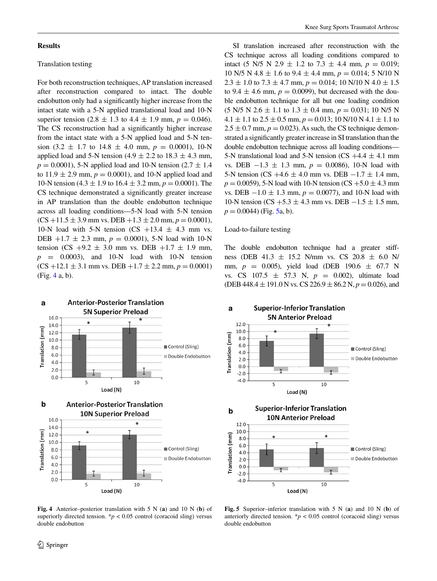#### **Results**

## Translation testing

For both reconstruction techniques, AP translation increased after reconstruction compared to intact. The double endobutton only had a significantly higher increase from the intact state with a 5-N applied translational load and 10-N superior tension (2.8  $\pm$  1.3 to 4.4  $\pm$  1.9 mm,  $p = 0.046$ ). The CS reconstruction had a significantly higher increase from the intact state with a 5-N applied load and 5-N tension  $(3.2 \pm 1.7 \text{ to } 14.8 \pm 4.0 \text{ mm}, p = 0.0001), 10\text{-N}$ applied load and 5-N tension (4.9  $\pm$  2.2 to 18.3  $\pm$  4.3 mm,  $p = 0.0001$ ), 5-N applied load and 10-N tension (2.7  $\pm$  1.4 to  $11.9 \pm 2.9$  mm,  $p = 0.0001$ ), and 10-N applied load and 10-N tension (4.3  $\pm$  1.9 to 16.4  $\pm$  3.2 mm,  $p = 0.0001$ ). The CS technique demonstrated a significantly greater increase in AP translation than the double endobutton technique across all loading conditions—5-N load with 5-N tension  $(CS +11.5 \pm 3.9 \text{ mm vs. DEB} +1.3 \pm 2.0 \text{ mm}, p = 0.0001),$ 10-N load with 5-N tension  $(CS +13.4 \pm 4.3 \text{ mm} \text{ vs.})$ DEB  $+1.7 \pm 2.3$  mm,  $p = 0.0001$ ), 5-N load with 10-N tension (CS +9.2  $\pm$  3.0 mm vs. DEB +1.7  $\pm$  1.9 mm,  $p = 0.0003$ , and 10-N load with 10-N tension  $(CS + 12.1 \pm 3.1 \text{ mm vs. DEB } +1.7 \pm 2.2 \text{ mm}, p = 0.0001)$ (Fig. [4](#page-3-0) a, b).



SI translation increased after reconstruction with the CS technique across all loading conditions compared to intact (5 N/5 N 2.9  $\pm$  1.2 to 7.3  $\pm$  4.4 mm,  $p = 0.019$ ; 10 N/5 N 4.8  $\pm$  1.6 to 9.4  $\pm$  4.4 mm,  $p = 0.014$ ; 5 N/10 N  $2.3 \pm 1.0$  to  $7.3 \pm 4.7$  mm,  $p = 0.014$ ; 10 N/10 N  $4.0 \pm 1.5$ to 9.4  $\pm$  4.6 mm,  $p = 0.0099$ ), but decreased with the double endobutton technique for all but one loading condition  $(5 N/5 N 2.6 \pm 1.1$  to  $1.3 \pm 0.4$  mm,  $p = 0.031$ ; 10 N/5 N  $4.1 \pm 1.1$  to  $2.5 \pm 0.5$  mm,  $p = 0.013$ ; 10 N/10 N  $4.1 \pm 1.1$  to  $2.5 \pm 0.7$  mm,  $p = 0.023$ ). As such, the CS technique demonstrated a significantly greater increase in SI translation than the double endobutton technique across all loading conditions— 5-N translational load and 5-N tension (CS  $+4.4 \pm 4.1$  mm vs. DEB −1.3 ± 1.3 mm, *p* = 0.0086), 10-N load with 5-N tension (CS +4.6  $\pm$  4.0 mm vs. DEB  $-1.7 \pm 1.4$  mm,  $p = 0.0059$ , 5-N load with 10-N tension (CS +5.0  $\pm$  4.3 mm vs. DEB  $-1.0 \pm 1.3$  mm,  $p = 0.0077$ , and 10-N load with 10-N tension (CS +5.3  $\pm$  4.3 mm vs. DEB  $-1.5 \pm 1.5$  mm,  $p = 0.0044$ ) (Fig. [5](#page-3-1)a, b).

#### Load-to-failure testing

The double endobutton technique had a greater stiffness (DEB 41.3  $\pm$  15.2 N/mm vs. CS 20.8  $\pm$  6.0 N/ mm,  $p = 0.005$ ), yield load (DEB 190.6  $\pm$  67.7 N vs. CS 107.5 ± 57.3 N, *p* = 0.002), ultimate load (DEB 448.4  $\pm$  191.0 N vs. CS 226.9  $\pm$  86.2 N,  $p = 0.026$ ), and



<span id="page-3-0"></span>**Fig. 4** Anterior–posterior translation with 5 N (**a**) and 10 N (**b**) of superiorly directed tension.  $\frac{p}{p}$  < 0.05 control (coracoid sling) versus double endobutton

 $\circled{2}$  Springer

<span id="page-3-1"></span>**Fig. 5** Superior–inferior translation with 5 N (**a**) and 10 N (**b**) of anteriorly directed tension.  $\frac{k}{p}$  < 0.05 control (coracoid sling) versus double endobutton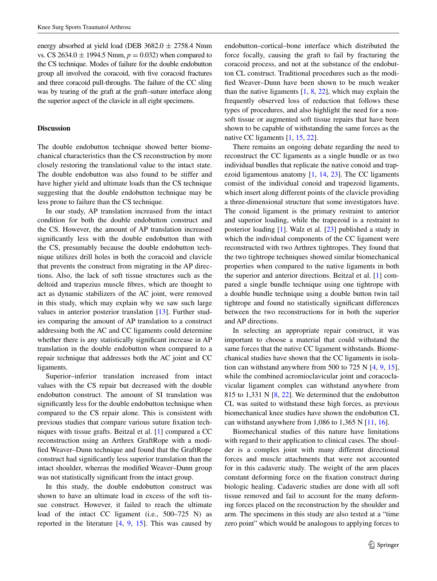energy absorbed at yield load (DEB  $3682.0 \pm 2758.4$  Nmm vs. CS 2634.0  $\pm$  1994.5 Nmm,  $p = 0.032$ ) when compared to the CS technique. Modes of failure for the double endobutton group all involved the coracoid, with five coracoid fractures and three coracoid pull-throughs. The failure of the CC sling was by tearing of the graft at the graft–suture interface along the superior aspect of the clavicle in all eight specimens.

# **Discussion**

The double endobutton technique showed better biomechanical characteristics than the CS reconstruction by more closely restoring the translational value to the intact state. The double endobutton was also found to be stiffer and have higher yield and ultimate loads than the CS technique suggesting that the double endobutton technique may be less prone to failure than the CS technique.

In our study, AP translation increased from the intact condition for both the double endobutton construct and the CS. However, the amount of AP translation increased significantly less with the double endobutton than with the CS, presumably because the double endobutton technique utilizes drill holes in both the coracoid and clavicle that prevents the construct from migrating in the AP directions. Also, the lack of soft tissue structures such as the deltoid and trapezius muscle fibres, which are thought to act as dynamic stabilizers of the AC joint, were removed in this study, which may explain why we saw such large values in anterior posterior translation [[13\]](#page-5-18). Further studies comparing the amount of AP translation to a construct addressing both the AC and CC ligaments could determine whether there is any statistically significant increase in AP translation in the double endobutton when compared to a repair technique that addresses both the AC joint and CC ligaments.

Superior–inferior translation increased from intact values with the CS repair but decreased with the double endobutton construct. The amount of SI translation was significantly less for the double endobutton technique when compared to the CS repair alone. This is consistent with previous studies that compare various suture fixation techniques with tissue grafts. Beitzal et al. [[1\]](#page-5-8) compared a CC reconstruction using an Arthrex GraftRope with a modified Weaver–Dunn technique and found that the GraftRope construct had significantly less superior translation than the intact shoulder, whereas the modified Weaver–Dunn group was not statistically significant from the intact group.

In this study, the double endobutton construct was shown to have an ultimate load in excess of the soft tissue construct. However, it failed to reach the ultimate load of the intact CC ligament (i.e., 500–725 N) as reported in the literature  $[4, 9, 15]$  $[4, 9, 15]$  $[4, 9, 15]$  $[4, 9, 15]$  $[4, 9, 15]$  $[4, 9, 15]$ . This was caused by endobutton–cortical–bone interface which distributed the force focally, causing the graft to fail by fracturing the coracoid process, and not at the substance of the endobutton CL construct. Traditional procedures such as the modified Weaver–Dunn have been shown to be much weaker than the native ligaments  $[1, 8, 22]$  $[1, 8, 22]$  $[1, 8, 22]$  $[1, 8, 22]$  $[1, 8, 22]$ , which may explain the frequently observed loss of reduction that follows these types of procedures, and also highlight the need for a nonsoft tissue or augmented soft tissue repairs that have been shown to be capable of withstanding the same forces as the native CC ligaments [\[1](#page-5-8), [15](#page-5-21), [22](#page-5-12)].

There remains an ongoing debate regarding the need to reconstruct the CC ligaments as a single bundle or as two individual bundles that replicate the native conoid and trapezoid ligamentous anatomy [\[1](#page-5-8), [14](#page-5-23), [23\]](#page-5-13). The CC ligaments consist of the individual conoid and trapezoid ligaments, which insert along different points of the clavicle providing a three-dimensional structure that some investigators have. The conoid ligament is the primary restraint to anterior and superior loading, while the trapezoid is a restraint to posterior loading [\[1](#page-5-8)]. Walz et al. [\[23](#page-5-13)] published a study in which the individual components of the CC ligament were reconstructed with two Arthrex tightropes. They found that the two tightrope techniques showed similar biomechanical properties when compared to the native ligaments in both the superior and anterior directions. Beitzal et al. [\[1](#page-5-8)] compared a single bundle technique using one tightrope with a double bundle technique using a double button twin tail tightrope and found no statistically significant differences between the two reconstructions for in both the superior and AP directions.

In selecting an appropriate repair construct, it was important to choose a material that could withstand the same forces that the native CC ligament withstands. Biomechanical studies have shown that the CC ligaments in isolation can withstand anywhere from 500 to 725 N [[4,](#page-5-19) [9,](#page-5-20) [15](#page-5-21)], while the combined acromioclavicular joint and coracoclavicular ligament complex can withstand anywhere from 815 to 1,331 N [[8,](#page-5-22) [22](#page-5-12)]. We determined that the endobutton CL was suited to withstand these high forces, as previous biomechanical knee studies have shown the endobutton CL can withstand anywhere from  $1,086$  to  $1,365$  N  $[11, 16]$  $[11, 16]$  $[11, 16]$  $[11, 16]$ .

Biomechanical studies of this nature have limitations with regard to their application to clinical cases. The shoulder is a complex joint with many different directional forces and muscle attachments that were not accounted for in this cadaveric study. The weight of the arm places constant deforming force on the fixation construct during biologic healing. Cadaveric studies are done with all soft tissue removed and fail to account for the many deforming forces placed on the reconstruction by the shoulder and arm. The specimens in this study are also tested at a "time zero point" which would be analogous to applying forces to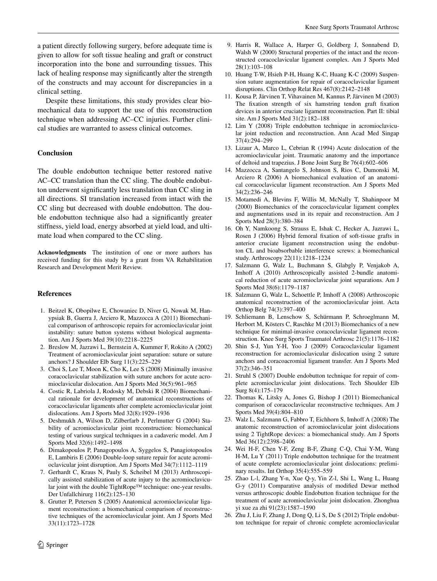a patient directly following surgery, before adequate time is given to allow for soft tissue healing and graft or construct incorporation into the bone and surrounding tissues. This lack of healing response may significantly alter the strength of the constructs and may account for discrepancies in a clinical setting.

Despite these limitations, this study provides clear biomechanical data to support the use of this reconstruction technique when addressing AC–CC injuries. Further clinical studies are warranted to assess clinical outcomes.

#### **Conclusion**

The double endobutton technique better restored native AC–CC translation than the CC sling. The double endobutton underwent significantly less translation than CC sling in all directions. SI translation increased from intact with the CC sling but decreased with double endobutton. The double endobutton technique also had a significantly greater stiffness, yield load, energy absorbed at yield load, and ultimate load when compared to the CC sling.

**Acknowledgments** The institution of one or more authors has received funding for this study by a grant from VA Rehabilitation Research and Development Merit Review.

#### **References**

- <span id="page-5-8"></span>1. Beitzel K, Obopilwe E, Chowaniec D, Niver G, Nowak M, Hanypsiak B, Guerra J, Arciero R, Mazzocca A (2011) Biomechanical comparison of arthroscopic repairs for acromioclavicular joint instability: suture button systems without biological augmentation. Am J Sports Med 39(10):2218–2225
- <span id="page-5-9"></span>2. Breslow M, Jazrawi L, Bernstein A, Kummer F, Rokito A (2002) Treatment of acromioclavicular joint separation: suture or suture anchors? J Shoulder Elb Surg 11(3):225–229
- <span id="page-5-0"></span>3. Choi S, Lee T, Moon K, Cho K, Lee S (2008) Minimally invasive coracoclavicular stabilization with suture anchors for acute acromioclavicular dislocation. Am J Sports Med 36(5):961–965
- <span id="page-5-19"></span>4. Costic R, Labriola J, Rodosky M, Debski R (2004) Biomechanical rationale for development of anatomical reconstructions of coracoclavicular ligaments after complete acromioclavicular joint dislocations. Am J Sports Med 32(8):1929–1936
- <span id="page-5-10"></span>5. Deshmukh A, Wilson D, Zilberfarb J, Perlmutter G (2004) Stability of acromioclavicular joint reconstruction: biomechanical testing of various surgical techniques in a cadaveric model. Am J Sports Med 32(6):1492–1498
- <span id="page-5-1"></span>6. Dimakopoulos P, Panagopoulos A, Syggelos S, Panagiotopoulos E, Lambiris E (2006) Double-loop suture repair for acute acromioclavicular joint disruption. Am J Sports Med 34(7):1112–1119
- <span id="page-5-5"></span>7. Gerhardt C, Kraus N, Pauly S, Scheibel M (2013) Arthroscopically assisted stabilization of acute injury to the acromioclavicular joint with the double TightRope™ technique: one-year results. Der Unfallchirurg 116(2):125–130
- <span id="page-5-22"></span>8. Grutter P, Petersen S (2005) Anatomical acromioclavicular ligament reconstruction: a biomechanical comparison of reconstructive techniques of the acromioclavicular joint. Am J Sports Med 33(11):1723–1728
- <span id="page-5-20"></span>9. Harris R, Wallace A, Harper G, Goldberg J, Sonnabend D, Walsh W (2000) Structural properties of the intact and the reconstructed coracoclavicular ligament complex. Am J Sports Med 28(1):103–108
- <span id="page-5-2"></span>10. Huang T-W, Hsieh P-H, Huang K-C, Huang K-C (2009) Suspension suture augmentation for repair of coracoclavicular ligament disruptions. Clin Orthop Relat Res 467(8):2142–2148
- <span id="page-5-24"></span>11. Kousa P, Järvinen T, Vihavainen M, Kannus P, Järvinen M (2003) The fixation strength of six hamstring tendon graft fixation devices in anterior cruciate ligament reconstruction. Part II: tibial site. Am J Sports Med 31(2):182–188
- <span id="page-5-15"></span>12. Lim Y (2008) Triple endobutton technique in acromioclavicular joint reduction and reconstruction. Ann Acad Med Singap 37(4):294–299
- <span id="page-5-18"></span>13. Lizaur A, Marco L, Cebrian R (1994) Acute dislocation of the acromioclavicular joint. Traumatic anatomy and the importance of deltoid and trapezius. J Bone Joint Surg Br 76(4):602–606
- <span id="page-5-23"></span>14. Mazzocca A, Santangelo S, Johnson S, Rios C, Dumonski M, Arciero R (2006) A biomechanical evaluation of an anatomical coracoclavicular ligament reconstruction. Am J Sports Med 34(2):236–246
- <span id="page-5-21"></span>15. Motamedi A, Blevins F, Willis M, McNally T, Shahinpoor M (2000) Biomechanics of the coracoclavicular ligament complex and augmentations used in its repair and reconstruction. Am J Sports Med 28(3):380–384
- <span id="page-5-25"></span>16. Oh Y, Namkoong S, Strauss E, Ishak C, Hecker A, Jazrawi L, Rosen J (2006) Hybrid femoral fixation of soft-tissue grafts in anterior cruciate ligament reconstruction using the endobutton CL and bioabsorbable interference screws: a biomechanical study. Arthroscopy 22(11):1218–1224
- <span id="page-5-3"></span>17. Salzmann G, Walz L, Buchmann S, Glabgly P, Venjakob A, Imhoff A (2010) Arthroscopically assisted 2-bundle anatomical reduction of acute acromioclavicular joint separations. Am J Sports Med 38(6):1179–1187
- <span id="page-5-6"></span>18. Salzmann G, Walz L, Schoettle P, Imhoff A (2008) Arthroscopic anatomical reconstruction of the acromioclavicular joint. Acta Orthop Belg 74(3):397–400
- <span id="page-5-11"></span>19. Schliemann B, Lenschow S, Schürmann P, Schroeglmann M, Herbort M, Kösters C, Raschke M (2013) Biomechanics of a new technique for minimal-invasive coracoclavicular ligament reconstruction. Knee Surg Sports Traumatol Arthrosc 21(5):1176–1182
- <span id="page-5-4"></span>20. Shin S-J, Yun Y-H, Yoo J (2009) Coracoclavicular ligament reconstruction for acromioclavicular dislocation using 2 suture anchors and coracoacromial ligament transfer. Am J Sports Med 37(2):346–351
- <span id="page-5-7"></span>21. Struhl S (2007) Double endobutton technique for repair of complete acromioclavicular joint dislocations. Tech Shoulder Elb Surg 8(4):175–179
- <span id="page-5-12"></span>22. Thomas K, Litsky A, Jones G, Bishop J (2011) Biomechanical comparison of coracoclavicular reconstructive techniques. Am J Sports Med 39(4):804–810
- <span id="page-5-13"></span>23. Walz L, Salzmann G, Fabbro T, Eichhorn S, Imhoff A (2008) The anatomic reconstruction of acromioclavicular joint dislocations using 2 TightRope devices: a biomechanical study. Am J Sports Med 36(12):2398–2406
- <span id="page-5-16"></span>24. Wei H-F, Chen Y-F, Zeng B-F, Zhang C-Q, Chai Y-M, Wang H-M, Lu Y (2011) Triple endobutton technique for the treatment of acute complete acromioclavicular joint dislocations: preliminary results. Int Orthop 35(4):555–559
- <span id="page-5-14"></span>25. Zhao L-l, Zhang Y-n, Xue Q-y, Yin Z-l, Shi L, Wang L, Huang G-y (2011) Comparative analysis of modified Dewar method versus arthroscopic double Endobutton fixation technique for the treatment of acute acromioclavicular joint dislocation. Zhonghua yi xue za zhi 91(23):1587–1590
- <span id="page-5-17"></span>26. Zhu J, Liu F, Zhang J, Dong Q, Li S, De S (2012) Triple endobutton technique for repair of chronic complete acromioclavicular